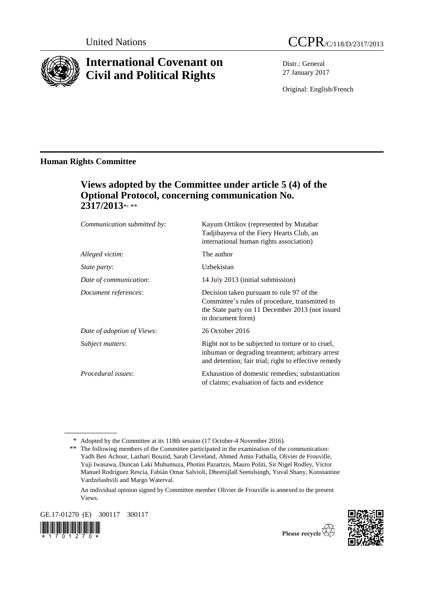

# **International Covenant on Civil and Political Rights**



Distr.: General 27 January 2017

Original: English/French

## **Human Rights Committee**

# **Views adopted by the Committee under article 5 (4) of the Optional Protocol, concerning communication No. 2317/2013**\* , \*\*

| Communication submitted by: | Kayum Ortikov (represented by Mutabar<br>Tadjibayeva of the Fiery Hearts Club, an<br>international human rights association)                                        |
|-----------------------------|---------------------------------------------------------------------------------------------------------------------------------------------------------------------|
| Alleged victim:             | The author                                                                                                                                                          |
| <i>State party:</i>         | Uzbekistan                                                                                                                                                          |
| Date of communication:      | 14 July 2013 (initial submission)                                                                                                                                   |
| Document references:        | Decision taken pursuant to rule 97 of the<br>Committee's rules of procedure, transmitted to<br>the State party on 11 December 2013 (not issued<br>in document form) |
| Date of adoption of Views:  | 26 October 2016                                                                                                                                                     |
| <i>Subject matters:</i>     | Right not to be subjected to torture or to cruel,<br>inhuman or degrading treatment; arbitrary arrest<br>and detention; fair trial; right to effective remedy       |
| Procedural issues:          | Exhaustion of domestic remedies; substantiation<br>of claims; evaluation of facts and evidence                                                                      |

An individual opinion signed by Committee member Olivier de Frouville is annexed to the present Views.

GE.17-01270 (E) 300117 300117





<sup>\*</sup> Adopted by the Committee at its 118th session (17 October-4 November 2016).

<sup>\*\*</sup> The following members of the Committee participated in the examination of the communication: Yadh Ben Achour, Lazhari Bouzid, Sarah Cleveland, Ahmed Amin Fathalla, Olivier de Frouville, Yuji Iwasawa, Duncan Laki Muhumuza, Photini Pazartzis, Mauro Politi, Sir Nigel Rodley, Víctor Manuel Rodríguez Rescia, Fabián Omar Salvioli, Dheerujlall Seetulsingh, Yuval Shany, Konstantine Vardzelashvili and Margo Waterval.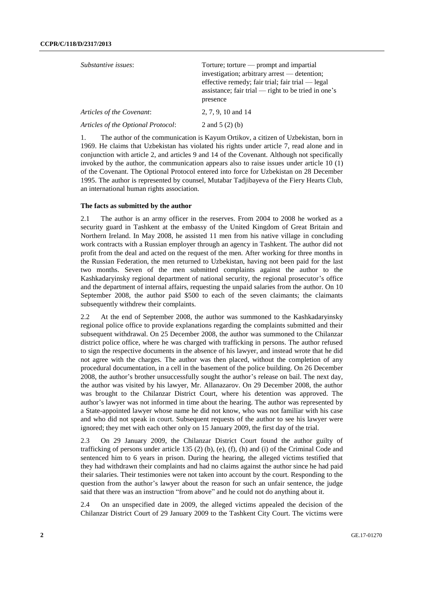| Substantive issues:                | Torture; torture $-$ prompt and impartial<br>investigation; arbitrary arrest — detention;<br>effective remedy; fair trial; fair trial — legal<br>assistance; fair trial — right to be tried in one's<br>presence |
|------------------------------------|------------------------------------------------------------------------------------------------------------------------------------------------------------------------------------------------------------------|
| Articles of the Covenant:          | 2, 7, 9, 10 and 14                                                                                                                                                                                               |
| Articles of the Optional Protocol: | 2 and $5(2)(b)$                                                                                                                                                                                                  |
|                                    |                                                                                                                                                                                                                  |

1. The author of the communication is Kayum Ortikov, a citizen of Uzbekistan, born in 1969. He claims that Uzbekistan has violated his rights under article 7, read alone and in conjunction with article 2, and articles 9 and 14 of the Covenant. Although not specifically invoked by the author, the communication appears also to raise issues under article 10 (1) of the Covenant. The Optional Protocol entered into force for Uzbekistan on 28 December 1995. The author is represented by counsel, Mutabar Tadjibayeva of the Fiery Hearts Club, an international human rights association.

#### **The facts as submitted by the author**

2.1 The author is an army officer in the reserves. From 2004 to 2008 he worked as a security guard in Tashkent at the embassy of the United Kingdom of Great Britain and Northern Ireland. In May 2008, he assisted 11 men from his native village in concluding work contracts with a Russian employer through an agency in Tashkent. The author did not profit from the deal and acted on the request of the men. After working for three months in the Russian Federation, the men returned to Uzbekistan, having not been paid for the last two months. Seven of the men submitted complaints against the author to the Kashkadaryinsky regional department of national security, the regional prosecutor's office and the department of internal affairs, requesting the unpaid salaries from the author. On 10 September 2008, the author paid \$500 to each of the seven claimants; the claimants subsequently withdrew their complaints.

2.2 At the end of September 2008, the author was summoned to the Kashkadaryinsky regional police office to provide explanations regarding the complaints submitted and their subsequent withdrawal. On 25 December 2008, the author was summoned to the Chilanzar district police office, where he was charged with trafficking in persons. The author refused to sign the respective documents in the absence of his lawyer, and instead wrote that he did not agree with the charges. The author was then placed, without the completion of any procedural documentation, in a cell in the basement of the police building. On 26 December 2008, the author's brother unsuccessfully sought the author's release on bail. The next day, the author was visited by his lawyer, Mr. Allanazarov. On 29 December 2008, the author was brought to the Chilanzar District Court, where his detention was approved. The author's lawyer was not informed in time about the hearing. The author was represented by a State-appointed lawyer whose name he did not know, who was not familiar with his case and who did not speak in court. Subsequent requests of the author to see his lawyer were ignored; they met with each other only on 15 January 2009, the first day of the trial.

2.3 On 29 January 2009, the Chilanzar District Court found the author guilty of trafficking of persons under article 135 (2) (b), (e), (f), (h) and (i) of the Criminal Code and sentenced him to 6 years in prison. During the hearing, the alleged victims testified that they had withdrawn their complaints and had no claims against the author since he had paid their salaries. Their testimonies were not taken into account by the court. Responding to the question from the author's lawyer about the reason for such an unfair sentence, the judge said that there was an instruction "from above" and he could not do anything about it.

2.4 On an unspecified date in 2009, the alleged victims appealed the decision of the Chilanzar District Court of 29 January 2009 to the Tashkent City Court. The victims were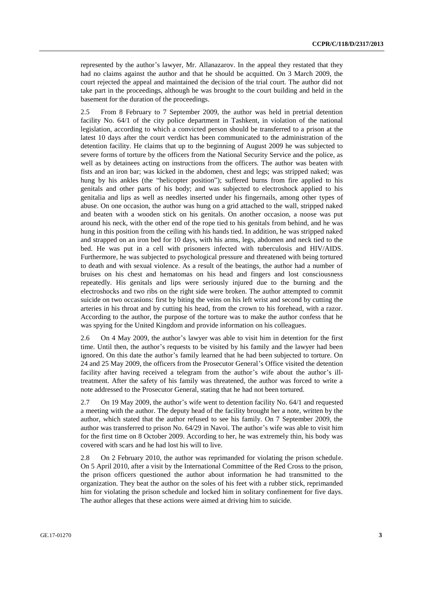represented by the author's lawyer, Mr. Allanazarov. In the appeal they restated that they had no claims against the author and that he should be acquitted. On 3 March 2009, the court rejected the appeal and maintained the decision of the trial court. The author did not take part in the proceedings, although he was brought to the court building and held in the basement for the duration of the proceedings.

2.5 From 8 February to 7 September 2009, the author was held in pretrial detention facility No. 64/1 of the city police department in Tashkent, in violation of the national legislation, according to which a convicted person should be transferred to a prison at the latest 10 days after the court verdict has been communicated to the administration of the detention facility. He claims that up to the beginning of August 2009 he was subjected to severe forms of torture by the officers from the National Security Service and the police, as well as by detainees acting on instructions from the officers. The author was beaten with fists and an iron bar; was kicked in the abdomen, chest and legs; was stripped naked; was hung by his ankles (the "helicopter position"); suffered burns from fire applied to his genitals and other parts of his body; and was subjected to electroshock applied to his genitalia and lips as well as needles inserted under his fingernails, among other types of abuse. On one occasion, the author was hung on a grid attached to the wall, stripped naked and beaten with a wooden stick on his genitals. On another occasion, a noose was put around his neck, with the other end of the rope tied to his genitals from behind, and he was hung in this position from the ceiling with his hands tied. In addition, he was stripped naked and strapped on an iron bed for 10 days, with his arms, legs, abdomen and neck tied to the bed. He was put in a cell with prisoners infected with tuberculosis and HIV/AIDS. Furthermore, he was subjected to psychological pressure and threatened with being tortured to death and with sexual violence. As a result of the beatings, the author had a number of bruises on his chest and hematomas on his head and fingers and lost consciousness repeatedly. His genitals and lips were seriously injured due to the burning and the electroshocks and two ribs on the right side were broken. The author attempted to commit suicide on two occasions: first by biting the veins on his left wrist and second by cutting the arteries in his throat and by cutting his head, from the crown to his forehead, with a razor. According to the author, the purpose of the torture was to make the author confess that he was spying for the United Kingdom and provide information on his colleagues.

2.6 On 4 May 2009, the author's lawyer was able to visit him in detention for the first time. Until then, the author's requests to be visited by his family and the lawyer had been ignored. On this date the author's family learned that he had been subjected to torture. On 24 and 25 May 2009, the officers from the Prosecutor General's Office visited the detention facility after having received a telegram from the author's wife about the author's illtreatment. After the safety of his family was threatened, the author was forced to write a note addressed to the Prosecutor General, stating that he had not been tortured.

2.7 On 19 May 2009, the author's wife went to detention facility No. 64/1 and requested a meeting with the author. The deputy head of the facility brought her a note, written by the author, which stated that the author refused to see his family. On 7 September 2009, the author was transferred to prison No. 64/29 in Navoi. The author's wife was able to visit him for the first time on 8 October 2009. According to her, he was extremely thin, his body was covered with scars and he had lost his will to live.

2.8 On 2 February 2010, the author was reprimanded for violating the prison schedule. On 5 April 2010, after a visit by the International Committee of the Red Cross to the prison, the prison officers questioned the author about information he had transmitted to the organization. They beat the author on the soles of his feet with a rubber stick, reprimanded him for violating the prison schedule and locked him in solitary confinement for five days. The author alleges that these actions were aimed at driving him to suicide.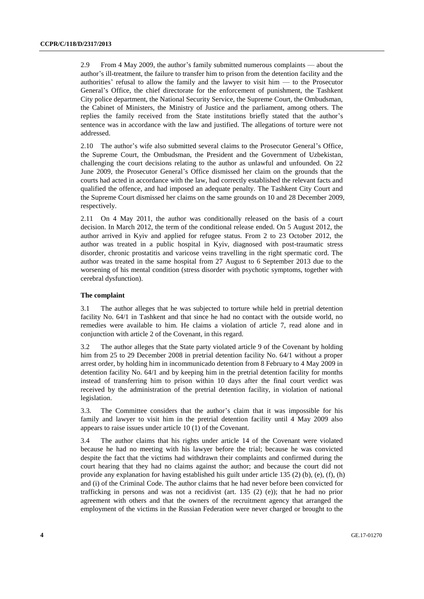2.9 From 4 May 2009, the author's family submitted numerous complaints — about the author's ill-treatment, the failure to transfer him to prison from the detention facility and the authorities' refusal to allow the family and the lawyer to visit him  $-$  to the Prosecutor General's Office, the chief directorate for the enforcement of punishment, the Tashkent City police department, the National Security Service, the Supreme Court, the Ombudsman, the Cabinet of Ministers, the Ministry of Justice and the parliament, among others. The replies the family received from the State institutions briefly stated that the author's sentence was in accordance with the law and justified. The allegations of torture were not addressed.

2.10 The author's wife also submitted several claims to the Prosecutor General's Office, the Supreme Court, the Ombudsman, the President and the Government of Uzbekistan, challenging the court decisions relating to the author as unlawful and unfounded. On 22 June 2009, the Prosecutor General's Office dismissed her claim on the grounds that the courts had acted in accordance with the law, had correctly established the relevant facts and qualified the offence, and had imposed an adequate penalty. The Tashkent City Court and the Supreme Court dismissed her claims on the same grounds on 10 and 28 December 2009, respectively.

2.11 On 4 May 2011, the author was conditionally released on the basis of a court decision. In March 2012, the term of the conditional release ended. On 5 August 2012, the author arrived in Kyiv and applied for refugee status. From 2 to 23 October 2012, the author was treated in a public hospital in Kyiv, diagnosed with post-traumatic stress disorder, chronic prostatitis and varicose veins travelling in the right spermatic cord. The author was treated in the same hospital from 27 August to 6 September 2013 due to the worsening of his mental condition (stress disorder with psychotic symptoms, together with cerebral dysfunction).

#### **The complaint**

3.1 The author alleges that he was subjected to torture while held in pretrial detention facility No. 64/1 in Tashkent and that since he had no contact with the outside world, no remedies were available to him. He claims a violation of article 7, read alone and in conjunction with article 2 of the Covenant, in this regard.

3.2 The author alleges that the State party violated article 9 of the Covenant by holding him from 25 to 29 December 2008 in pretrial detention facility No. 64/1 without a proper arrest order, by holding him in incommunicado detention from 8 February to 4 May 2009 in detention facility No. 64/1 and by keeping him in the pretrial detention facility for months instead of transferring him to prison within 10 days after the final court verdict was received by the administration of the pretrial detention facility, in violation of national legislation.

3.3. The Committee considers that the author's claim that it was impossible for his family and lawyer to visit him in the pretrial detention facility until 4 May 2009 also appears to raise issues under article 10 (1) of the Covenant.

3.4 The author claims that his rights under article 14 of the Covenant were violated because he had no meeting with his lawyer before the trial; because he was convicted despite the fact that the victims had withdrawn their complaints and confirmed during the court hearing that they had no claims against the author; and because the court did not provide any explanation for having established his guilt under article 135 (2) (b), (e), (f), (h) and (i) of the Criminal Code. The author claims that he had never before been convicted for trafficking in persons and was not a recidivist (art. 135 (2) (e)); that he had no prior agreement with others and that the owners of the recruitment agency that arranged the employment of the victims in the Russian Federation were never charged or brought to the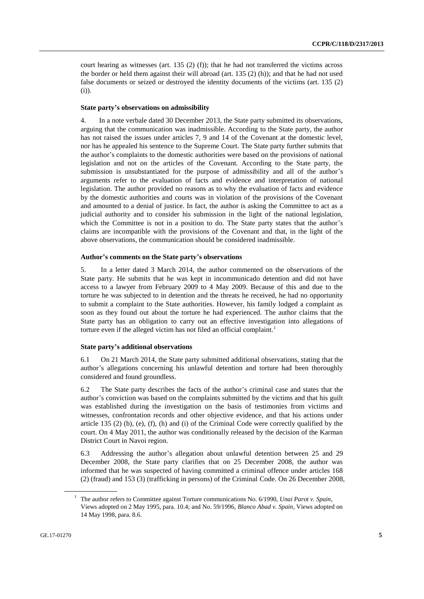court hearing as witnesses (art.  $135$  (2) (f)); that he had not transferred the victims across the border or held them against their will abroad (art. 135 (2) (h)); and that he had not used false documents or seized or destroyed the identity documents of the victims (art. 135 (2) (i)).

#### **State party's observations on admissibility**

4. In a note verbale dated 30 December 2013, the State party submitted its observations, arguing that the communication was inadmissible. According to the State party, the author has not raised the issues under articles 7, 9 and 14 of the Covenant at the domestic level, nor has he appealed his sentence to the Supreme Court. The State party further submits that the author's complaints to the domestic authorities were based on the provisions of national legislation and not on the articles of the Covenant. According to the State party, the submission is unsubstantiated for the purpose of admissibility and all of the author's arguments refer to the evaluation of facts and evidence and interpretation of national legislation. The author provided no reasons as to why the evaluation of facts and evidence by the domestic authorities and courts was in violation of the provisions of the Covenant and amounted to a denial of justice. In fact, the author is asking the Committee to act as a judicial authority and to consider his submission in the light of the national legislation, which the Committee is not in a position to do. The State party states that the author's claims are incompatible with the provisions of the Covenant and that, in the light of the above observations, the communication should be considered inadmissible.

#### **Author's comments on the State party's observations**

5. In a letter dated 3 March 2014, the author commented on the observations of the State party. He submits that he was kept in incommunicado detention and did not have access to a lawyer from February 2009 to 4 May 2009. Because of this and due to the torture he was subjected to in detention and the threats he received, he had no opportunity to submit a complaint to the State authorities. However, his family lodged a complaint as soon as they found out about the torture he had experienced. The author claims that the State party has an obligation to carry out an effective investigation into allegations of torture even if the alleged victim has not filed an official complaint.<sup>1</sup>

#### **State party's additional observations**

6.1 On 21 March 2014, the State party submitted additional observations, stating that the author's allegations concerning his unlawful detention and torture had been thoroughly considered and found groundless.

6.2 The State party describes the facts of the author's criminal case and states that the author's conviction was based on the complaints submitted by the victims and that his guilt was established during the investigation on the basis of testimonies from victims and witnesses, confrontation records and other objective evidence, and that his actions under article 135 (2) (b), (e), (f), (h) and (i) of the Criminal Code were correctly qualified by the court. On 4 May 2011, the author was conditionally released by the decision of the Karman District Court in Navoi region.

6.3 Addressing the author's allegation about unlawful detention between 25 and 29 December 2008, the State party clarifies that on 25 December 2008, the author was informed that he was suspected of having committed a criminal offence under articles 168 (2) (fraud) and 153 (3) (trafficking in persons) of the Criminal Code. On 26 December 2008,

<sup>1</sup> The author refers to Committee against Torture communications No. 6/1990, *Unai Parot v. Spain*, Views adopted on 2 May 1995, para. 10.4; and No. 59/1996, *Blanco Abad v. Spain*, Views adopted on 14 May 1998, para. 8.6.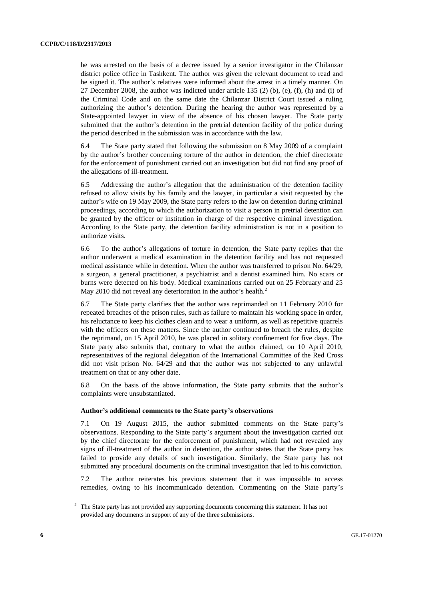he was arrested on the basis of a decree issued by a senior investigator in the Chilanzar district police office in Tashkent. The author was given the relevant document to read and he signed it. The author's relatives were informed about the arrest in a timely manner. On 27 December 2008, the author was indicted under article 135 (2) (b), (e), (f), (h) and (i) of the Criminal Code and on the same date the Chilanzar District Court issued a ruling authorizing the author's detention. During the hearing the author was represented by a State-appointed lawyer in view of the absence of his chosen lawyer. The State party submitted that the author's detention in the pretrial detention facility of the police during the period described in the submission was in accordance with the law.

6.4 The State party stated that following the submission on 8 May 2009 of a complaint by the author's brother concerning torture of the author in detention, the chief directorate for the enforcement of punishment carried out an investigation but did not find any proof of the allegations of ill-treatment.

6.5 Addressing the author's allegation that the administration of the detention facility refused to allow visits by his family and the lawyer, in particular a visit requested by the author's wife on 19 May 2009, the State party refers to the law on detention during criminal proceedings, according to which the authorization to visit a person in pretrial detention can be granted by the officer or institution in charge of the respective criminal investigation. According to the State party, the detention facility administration is not in a position to authorize visits.

6.6 To the author's allegations of torture in detention, the State party replies that the author underwent a medical examination in the detention facility and has not requested medical assistance while in detention. When the author was transferred to prison No. 64/29, a surgeon, a general practitioner, a psychiatrist and a dentist examined him. No scars or burns were detected on his body. Medical examinations carried out on 25 February and 25 May 2010 did not reveal any deterioration in the author's health.<sup>2</sup>

6.7 The State party clarifies that the author was reprimanded on 11 February 2010 for repeated breaches of the prison rules, such as failure to maintain his working space in order, his reluctance to keep his clothes clean and to wear a uniform, as well as repetitive quarrels with the officers on these matters. Since the author continued to breach the rules, despite the reprimand, on 15 April 2010, he was placed in solitary confinement for five days. The State party also submits that, contrary to what the author claimed, on 10 April 2010, representatives of the regional delegation of the International Committee of the Red Cross did not visit prison No. 64/29 and that the author was not subjected to any unlawful treatment on that or any other date.

6.8 On the basis of the above information, the State party submits that the author's complaints were unsubstantiated.

#### **Author's additional comments to the State party's observations**

7.1 On 19 August 2015, the author submitted comments on the State party's observations. Responding to the State party's argument about the investigation carried out by the chief directorate for the enforcement of punishment, which had not revealed any signs of ill-treatment of the author in detention, the author states that the State party has failed to provide any details of such investigation. Similarly, the State party has not submitted any procedural documents on the criminal investigation that led to his conviction.

7.2 The author reiterates his previous statement that it was impossible to access remedies, owing to his incommunicado detention. Commenting on the State party's

<sup>&</sup>lt;sup>2</sup> The State party has not provided any supporting documents concerning this statement. It has not provided any documents in support of any of the three submissions.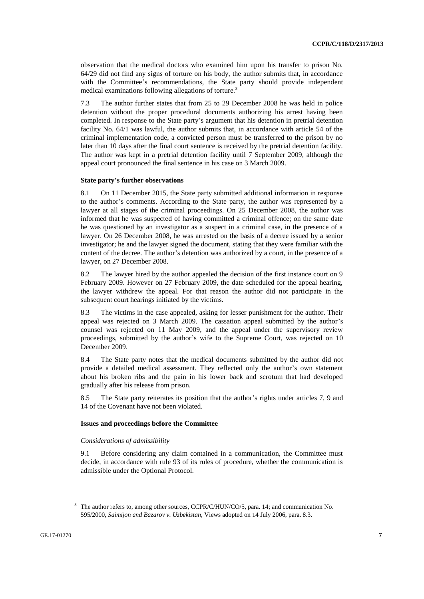observation that the medical doctors who examined him upon his transfer to prison No. 64/29 did not find any signs of torture on his body, the author submits that, in accordance with the Committee's recommendations, the State party should provide independent medical examinations following allegations of torture.<sup>3</sup>

7.3 The author further states that from 25 to 29 December 2008 he was held in police detention without the proper procedural documents authorizing his arrest having been completed. In response to the State party's argument that his detention in pretrial detention facility No. 64/1 was lawful, the author submits that, in accordance with article 54 of the criminal implementation code, a convicted person must be transferred to the prison by no later than 10 days after the final court sentence is received by the pretrial detention facility. The author was kept in a pretrial detention facility until 7 September 2009, although the appeal court pronounced the final sentence in his case on 3 March 2009.

#### **State party's further observations**

8.1 On 11 December 2015, the State party submitted additional information in response to the author's comments. According to the State party, the author was represented by a lawyer at all stages of the criminal proceedings. On 25 December 2008, the author was informed that he was suspected of having committed a criminal offence; on the same date he was questioned by an investigator as a suspect in a criminal case, in the presence of a lawyer. On 26 December 2008, he was arrested on the basis of a decree issued by a senior investigator; he and the lawyer signed the document, stating that they were familiar with the content of the decree. The author's detention was authorized by a court, in the presence of a lawyer, on 27 December 2008.

8.2 The lawyer hired by the author appealed the decision of the first instance court on 9 February 2009. However on 27 February 2009, the date scheduled for the appeal hearing, the lawyer withdrew the appeal. For that reason the author did not participate in the subsequent court hearings initiated by the victims.

8.3 The victims in the case appealed, asking for lesser punishment for the author. Their appeal was rejected on 3 March 2009. The cassation appeal submitted by the author's counsel was rejected on 11 May 2009, and the appeal under the supervisory review proceedings, submitted by the author's wife to the Supreme Court, was rejected on 10 December 2009.

8.4 The State party notes that the medical documents submitted by the author did not provide a detailed medical assessment. They reflected only the author's own statement about his broken ribs and the pain in his lower back and scrotum that had developed gradually after his release from prison.

8.5 The State party reiterates its position that the author's rights under articles 7, 9 and 14 of the Covenant have not been violated.

#### **Issues and proceedings before the Committee**

#### *Considerations of admissibility*

9.1 Before considering any claim contained in a communication, the Committee must decide, in accordance with rule 93 of its rules of procedure, whether the communication is admissible under the Optional Protocol.

<sup>&</sup>lt;sup>3</sup> The author refers to, among other sources, CCPR/C/HUN/CO/5, para. 14; and communication No. 595/2000, *Saimijon and Bazarov v. Uzbekistan,* Views adopted on 14 July 2006, para. 8.3.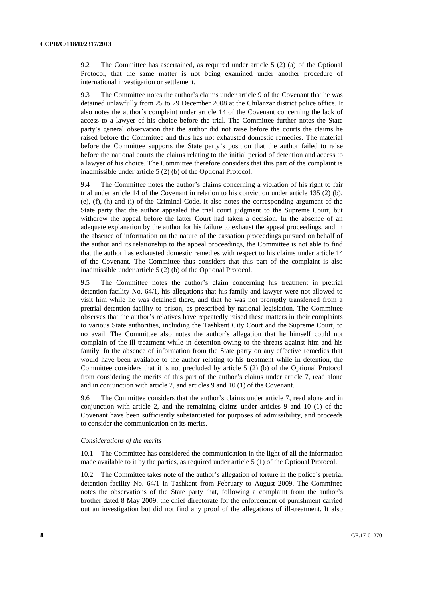9.2 The Committee has ascertained, as required under article 5 (2) (a) of the Optional Protocol, that the same matter is not being examined under another procedure of international investigation or settlement.

9.3 The Committee notes the author's claims under article 9 of the Covenant that he was detained unlawfully from 25 to 29 December 2008 at the Chilanzar district police office. It also notes the author's complaint under article 14 of the Covenant concerning the lack of access to a lawyer of his choice before the trial. The Committee further notes the State party's general observation that the author did not raise before the courts the claims he raised before the Committee and thus has not exhausted domestic remedies. The material before the Committee supports the State party's position that the author failed to raise before the national courts the claims relating to the initial period of detention and access to a lawyer of his choice. The Committee therefore considers that this part of the complaint is inadmissible under article 5 (2) (b) of the Optional Protocol.

9.4 The Committee notes the author's claims concerning a violation of his right to fair trial under article 14 of the Covenant in relation to his conviction under article 135 (2) (b), (e), (f), (h) and (i) of the Criminal Code. It also notes the corresponding argument of the State party that the author appealed the trial court judgment to the Supreme Court, but withdrew the appeal before the latter Court had taken a decision. In the absence of an adequate explanation by the author for his failure to exhaust the appeal proceedings, and in the absence of information on the nature of the cassation proceedings pursued on behalf of the author and its relationship to the appeal proceedings, the Committee is not able to find that the author has exhausted domestic remedies with respect to his claims under article 14 of the Covenant. The Committee thus considers that this part of the complaint is also inadmissible under article 5 (2) (b) of the Optional Protocol.

9.5 The Committee notes the author's claim concerning his treatment in pretrial detention facility No. 64/1, his allegations that his family and lawyer were not allowed to visit him while he was detained there, and that he was not promptly transferred from a pretrial detention facility to prison, as prescribed by national legislation. The Committee observes that the author's relatives have repeatedly raised these matters in their complaints to various State authorities, including the Tashkent City Court and the Supreme Court, to no avail. The Committee also notes the author's allegation that he himself could not complain of the ill-treatment while in detention owing to the threats against him and his family. In the absence of information from the State party on any effective remedies that would have been available to the author relating to his treatment while in detention, the Committee considers that it is not precluded by article 5 (2) (b) of the Optional Protocol from considering the merits of this part of the author's claims under article 7, read alone and in conjunction with article 2, and articles 9 and 10 (1) of the Covenant.

9.6 The Committee considers that the author's claims under article 7, read alone and in conjunction with article 2, and the remaining claims under articles 9 and 10 (1) of the Covenant have been sufficiently substantiated for purposes of admissibility, and proceeds to consider the communication on its merits.

#### *Considerations of the merits*

10.1 The Committee has considered the communication in the light of all the information made available to it by the parties, as required under article 5 (1) of the Optional Protocol.

10.2 The Committee takes note of the author's allegation of torture in the police's pretrial detention facility No. 64/1 in Tashkent from February to August 2009. The Committee notes the observations of the State party that, following a complaint from the author's brother dated 8 May 2009, the chief directorate for the enforcement of punishment carried out an investigation but did not find any proof of the allegations of ill-treatment. It also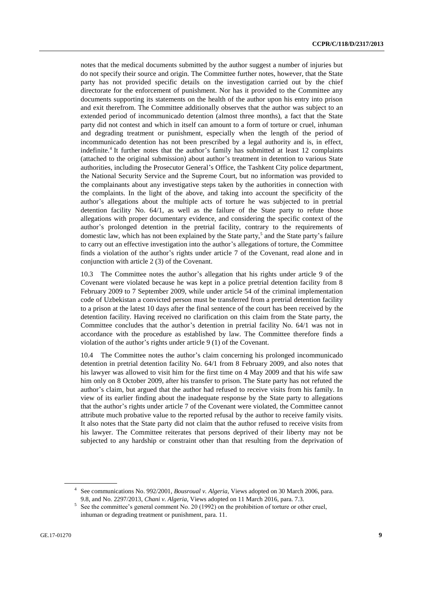notes that the medical documents submitted by the author suggest a number of injuries but do not specify their source and origin. The Committee further notes, however, that the State party has not provided specific details on the investigation carried out by the chief directorate for the enforcement of punishment. Nor has it provided to the Committee any documents supporting its statements on the health of the author upon his entry into prison and exit therefrom. The Committee additionally observes that the author was subject to an extended period of incommunicado detention (almost three months), a fact that the State party did not contest and which in itself can amount to a form of torture or cruel, inhuman and degrading treatment or punishment, especially when the length of the period of incommunicado detention has not been prescribed by a legal authority and is, in effect, indefinite.<sup>4</sup> It further notes that the author's family has submitted at least 12 complaints (attached to the original submission) about author's treatment in detention to various State authorities, including the Prosecutor General's Office, the Tashkent City police department, the National Security Service and the Supreme Court, but no information was provided to the complainants about any investigative steps taken by the authorities in connection with the complaints. In the light of the above, and taking into account the specificity of the author's allegations about the multiple acts of torture he was subjected to in pretrial detention facility No. 64/1, as well as the failure of the State party to refute those allegations with proper documentary evidence, and considering the specific context of the author's prolonged detention in the pretrial facility, contrary to the requirements of domestic law, which has not been explained by the State party,<sup>5</sup> and the State party's failure to carry out an effective investigation into the author's allegations of torture, the Committee finds a violation of the author's rights under article 7 of the Covenant, read alone and in conjunction with article 2 (3) of the Covenant.

10.3 The Committee notes the author's allegation that his rights under article 9 of the Covenant were violated because he was kept in a police pretrial detention facility from 8 February 2009 to 7 September 2009, while under article 54 of the criminal implementation code of Uzbekistan a convicted person must be transferred from a pretrial detention facility to a prison at the latest 10 days after the final sentence of the court has been received by the detention facility. Having received no clarification on this claim from the State party, the Committee concludes that the author's detention in pretrial facility No. 64/1 was not in accordance with the procedure as established by law. The Committee therefore finds a violation of the author's rights under article 9 (1) of the Covenant.

10.4 The Committee notes the author's claim concerning his prolonged incommunicado detention in pretrial detention facility No. 64/1 from 8 February 2009, and also notes that his lawyer was allowed to visit him for the first time on 4 May 2009 and that his wife saw him only on 8 October 2009, after his transfer to prison. The State party has not refuted the author's claim, but argued that the author had refused to receive visits from his family. In view of its earlier finding about the inadequate response by the State party to allegations that the author's rights under article 7 of the Covenant were violated, the Committee cannot attribute much probative value to the reported refusal by the author to receive family visits. It also notes that the State party did not claim that the author refused to receive visits from his lawyer. The Committee reiterates that persons deprived of their liberty may not be subjected to any hardship or constraint other than that resulting from the deprivation of

<sup>4</sup> See communications No. 992/2001, *Bousroual v. Algeria,* Views adopted on 30 March 2006, para. 9.8, and No. 2297/2013, *Chani v. Algeria,* Views adopted on 11 March 2016, para. 7.3.

<sup>&</sup>lt;sup>5</sup> See the committee's general comment No. 20 (1992) on the prohibition of torture or other cruel, inhuman or degrading treatment or punishment, para. 11.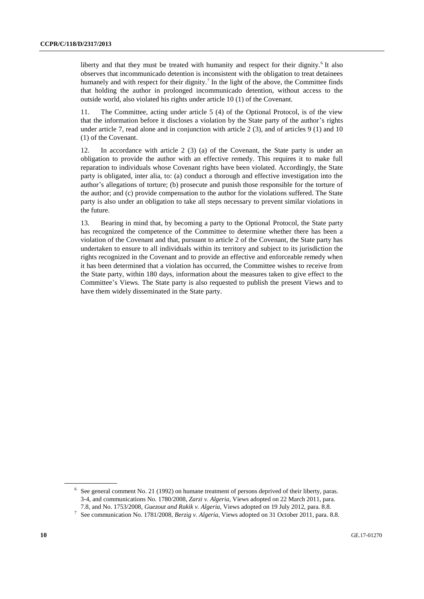liberty and that they must be treated with humanity and respect for their dignity.<sup>6</sup> It also observes that incommunicado detention is inconsistent with the obligation to treat detainees humanely and with respect for their dignity.<sup>7</sup> In the light of the above, the Committee finds that holding the author in prolonged incommunicado detention, without access to the outside world, also violated his rights under article 10 (1) of the Covenant.

11. The Committee, acting under article 5 (4) of the Optional Protocol, is of the view that the information before it discloses a violation by the State party of the author's rights under article 7, read alone and in conjunction with article  $2(3)$ , and of articles  $9(1)$  and  $10$ (1) of the Covenant.

12. In accordance with article 2 (3) (a) of the Covenant, the State party is under an obligation to provide the author with an effective remedy. This requires it to make full reparation to individuals whose Covenant rights have been violated. Accordingly, the State party is obligated, inter alia, to: (a) conduct a thorough and effective investigation into the author's allegations of torture; (b) prosecute and punish those responsible for the torture of the author; and (c) provide compensation to the author for the violations suffered. The State party is also under an obligation to take all steps necessary to prevent similar violations in the future.

13. Bearing in mind that, by becoming a party to the Optional Protocol, the State party has recognized the competence of the Committee to determine whether there has been a violation of the Covenant and that, pursuant to article 2 of the Covenant, the State party has undertaken to ensure to all individuals within its territory and subject to its jurisdiction the rights recognized in the Covenant and to provide an effective and enforceable remedy when it has been determined that a violation has occurred, the Committee wishes to receive from the State party, within 180 days, information about the measures taken to give effect to the Committee's Views. The State party is also requested to publish the present Views and to have them widely disseminated in the State party.

 $6\text{$  See general comment No. 21 (1992) on humane treatment of persons deprived of their liberty, paras.} 3-4, and communications No. 1780/2008, *Zarzi v. Algeria*, Views adopted on 22 March 2011, para. 7.8, and No. 1753/2008, *Guezout and Rakik v. Algeria,* Views adopted on 19 July 2012, para. 8.8.

<sup>7</sup> See communication No. 1781/2008, *Berzig v. Algeria*, Views adopted on 31 October 2011, para. 8.8.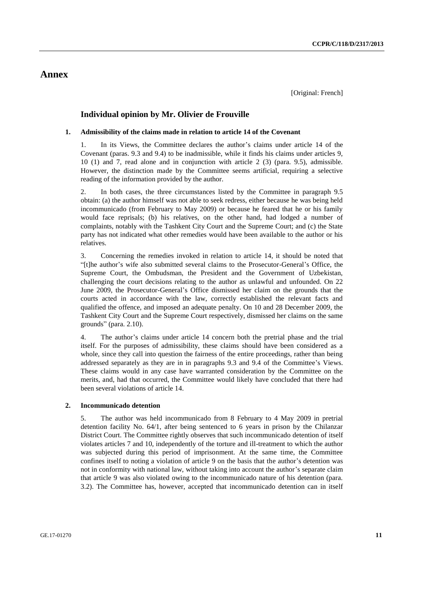### **Annex**

#### **Individual opinion by Mr. Olivier de Frouville**

#### **1. Admissibility of the claims made in relation to article 14 of the Covenant**

1. In its Views, the Committee declares the author's claims under article 14 of the Covenant (paras. 9.3 and 9.4) to be inadmissible, while it finds his claims under articles 9, 10 (1) and 7, read alone and in conjunction with article 2 (3) (para. 9.5), admissible. However, the distinction made by the Committee seems artificial, requiring a selective reading of the information provided by the author.

2. In both cases, the three circumstances listed by the Committee in paragraph 9.5 obtain: (a) the author himself was not able to seek redress, either because he was being held incommunicado (from February to May 2009) or because he feared that he or his family would face reprisals; (b) his relatives, on the other hand, had lodged a number of complaints, notably with the Tashkent City Court and the Supreme Court; and (c) the State party has not indicated what other remedies would have been available to the author or his relatives.

3. Concerning the remedies invoked in relation to article 14, it should be noted that "[t]he author's wife also submitted several claims to the Prosecutor-General's Office, the Supreme Court, the Ombudsman, the President and the Government of Uzbekistan, challenging the court decisions relating to the author as unlawful and unfounded. On 22 June 2009, the Prosecutor-General's Office dismissed her claim on the grounds that the courts acted in accordance with the law, correctly established the relevant facts and qualified the offence, and imposed an adequate penalty. On 10 and 28 December 2009, the Tashkent City Court and the Supreme Court respectively, dismissed her claims on the same grounds" (para. 2.10).

4. The author's claims under article 14 concern both the pretrial phase and the trial itself. For the purposes of admissibility, these claims should have been considered as a whole, since they call into question the fairness of the entire proceedings, rather than being addressed separately as they are in in paragraphs 9.3 and 9.4 of the Committee's Views. These claims would in any case have warranted consideration by the Committee on the merits, and, had that occurred, the Committee would likely have concluded that there had been several violations of article 14.

#### **2. Incommunicado detention**

5. The author was held incommunicado from 8 February to 4 May 2009 in pretrial detention facility No. 64/1, after being sentenced to 6 years in prison by the Chilanzar District Court. The Committee rightly observes that such incommunicado detention of itself violates articles 7 and 10, independently of the torture and ill-treatment to which the author was subjected during this period of imprisonment. At the same time, the Committee confines itself to noting a violation of article 9 on the basis that the author's detention was not in conformity with national law, without taking into account the author's separate claim that article 9 was also violated owing to the incommunicado nature of his detention (para. 3.2). The Committee has, however, accepted that incommunicado detention can in itself